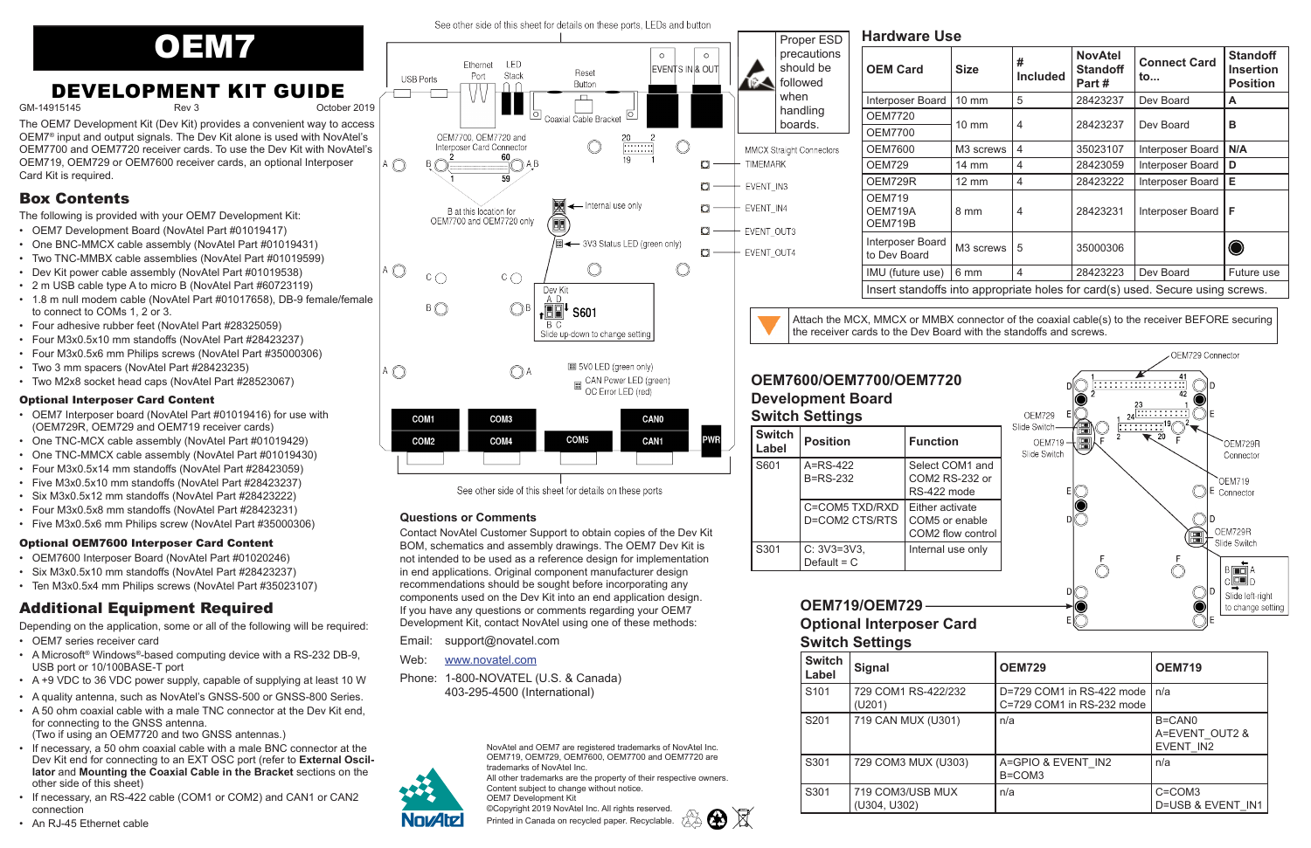GM-14915145 Rev 3 October 2019

 $\overline{\phantom{a}}$ 

4 (C)

A  $\mathbb C$ 

COM1

COM<sub>2</sub>

#### See other side of this sheet for details on these ports, LEDs and button



# **DEVELOPMENT KIT GUIDE**

The OEM7 Development Kit (Dev Kit) provides a convenient way to access OEM7® input and output signals. The Dev Kit alone is used with NovAtel's OEM7700 and OEM7720 receiver cards. To use the Dev Kit with NovAtel's OEM719, OEM729 or OEM7600 receiver cards, an optional Interposer Card Kit is required.

# Box Contents

The following is provided with your OEM7 Development Kit:

- OEM7 Development Board (NovAtel Part #01019417)
- One BNC-MMCX cable assembly (NovAtel Part #01019431)
- Two TNC-MMBX cable assemblies (NovAtel Part #01019599)
- Dev Kit power cable assembly (NovAtel Part #01019538)
- 2 m USB cable type A to micro B (NovAtel Part #60723119)
- 1.8 m null modem cable (NovAtel Part #01017658), DB-9 female/female to connect to COMs 1, 2 or 3.
- Four adhesive rubber feet (NovAtel Part #28325059)
- Four M3x0.5x10 mm standoffs (NovAtel Part #28423237)
- Four M3x0.5x6 mm Philips screws (NovAtel Part #35000306)
- Two 3 mm spacers (NovAtel Part #28423235)
- Two M2x8 socket head caps (NovAtel Part #28523067)

#### Optional Interposer Card Content

- OEM7 Interposer board (NovAtel Part #01019416) for use with (OEM729R, OEM729 and OEM719 receiver cards)
- One TNC-MCX cable assembly (NovAtel Part #01019429)
- One TNC-MMCX cable assembly (NovAtel Part #01019430)
- Four M3x0.5x14 mm standoffs (NovAtel Part #28423059)
- Five M3x0.5x10 mm standoffs (NovAtel Part #28423237)
- Six M3x0.5x12 mm standoffs (NovAtel Part #28423222)
- Four M3x0.5x8 mm standoffs (NovAtel Part #28423231)
- Five M3x0.5x6 mm Philips screw (NovAtel Part #35000306)

#### Optional OEM7600 Interposer Card Content

- OEM7600 Interposer Board (NovAtel Part #01020246)
- Six M3x0.5x10 mm standoffs (NovAtel Part #28423237)
- Ten M3x0.5x4 mm Philips screws (NovAtel Part #35023107)

# Additional Equipment Required

Depending on the application, some or all of the following will be required:

- OEM7 series receiver card
- A Microsoft® Windows®-based computing device with a RS-232 DB-9, USB port or 10/100BASE-T port
- A +9 VDC to 36 VDC power supply, capable of supplying at least 10 W
- A quality antenna, such as NovAtel's GNSS-500 or GNSS-800 Series.
- A 50 ohm coaxial cable with a male TNC connector at the Dev Kit end, for connecting to the GNSS antenna. (Two if using an OEM7720 and two GNSS antennas.)
- If necessary, a 50 ohm coaxial cable with a male BNC connector at the Dev Kit end for connecting to an EXT OSC port (refer to **External Oscillator** and **Mounting the Coaxial Cable in the Bracket** sections on the other side of this sheet)
- If necessary, an RS-422 cable (COM1 or COM2) and CAN1 or CAN2 connection



See other side of this sheet for details on these ports

COM<sub>5</sub>

 $\Box$  CAN Power LED (green)

OC Error LED (red)

**CAN0** 

CAN1

**PWR** 

| <b>OEM Card</b>                                                                | <b>Size</b>           | #<br><b>Included</b> | <b>NovAtel</b><br><b>Standoff</b><br>Part# | <b>Connect Card</b><br>to | <b>Standoff</b><br><b>Insertion</b><br><b>Position</b> |
|--------------------------------------------------------------------------------|-----------------------|----------------------|--------------------------------------------|---------------------------|--------------------------------------------------------|
| Interposer Board                                                               | 10 mm                 | 5                    | 28423237                                   | Dev Board                 | A                                                      |
| <b>OEM7720</b>                                                                 | $10 \text{ mm}$       | 4                    | 28423237                                   | Dev Board                 | в                                                      |
| OEM7700                                                                        |                       |                      |                                            |                           |                                                        |
| OEM7600                                                                        | M <sub>3</sub> screws | 4                    | 35023107                                   | Interposer Board          | N/A                                                    |
| OEM729                                                                         | 14 mm                 | 4                    | 28423059                                   | Interposer Board          | D                                                      |
| OEM729R                                                                        | $12 \text{ mm}$       | 4                    | 28423222                                   | Interposer Board          | Е                                                      |
| <b>OEM719</b><br>OEM719A<br>OEM719B                                            | 8 mm                  | 4                    | 28423231                                   | Interposer Board          | F                                                      |
| Interposer Board<br>to Dev Board                                               | M <sub>3</sub> screws | 5                    | 35000306                                   |                           |                                                        |
| IMU (future use)                                                               | 6 mm                  | 4                    | 28423223                                   | Dev Board                 | Future use                                             |
| Insert standoffs into appropriate holes for card(s) used. Secure using screws. |                       |                      |                                            |                           |                                                        |



# **OEM7600/OEM7700/OEM7720 Development Board Switch Settings**

| <b>Switch</b><br><b>Label</b> | <b>Position</b>                  | <b>Function</b>                                    |
|-------------------------------|----------------------------------|----------------------------------------------------|
| S601                          | $A = RS-422$<br><b>B=RS-232</b>  | Select COM<br>COM2 RS-<br><b>RS-422 mc</b>         |
|                               | C=COM5 TXD/RXD<br>D=COM2 CTS/RTS | Either activ<br>COM <sub>5</sub> or e<br>COM2 flow |
| S301                          | $C: 3V3 = 3V3$<br>Default = $C$  | Internal use                                       |



Attach the MCX, MMCX or MMBX connector of the coaxial cable(s) to the receiver BEFORE securing

# **Questions or Comments**

COM<sub>3</sub>

COM<sub>4</sub>

Contact NovAtel Customer Support to obtain copies of the Dev Kit BOM, schematics and assembly drawings. The OEM7 Dev Kit is not intended to be used as a reference design for implementation in end applications. Original component manufacturer design recommendations should be sought before incorporating any components used on the Dev Kit into an end application design. If you have any questions or comments regarding your OEM7 Development Kit, contact NovAtel using one of these methods:

Email: support@novatel.com

Web: www.novatel.com

Phone: 1-800-NOVATEL (U.S. & Canada) 403-295-4500 (International)

NovAtel and OEM7 are registered trademarks of NovAtel Inc. OEM719, OEM729, OEM7600, OEM7700 and OEM7720 are trademarks of NovAtel Inc. All other trademarks are the property of their respective owners.

Content subject to change without notice.

OEM7 Development Kit ©Copyright 2019 NovAtel Inc. All rights reserved.

Printed in Canada on recycled paper. Recyclable.

# **OEM719/OEM729 Optional Interposer Card Switch Settings**

| <b>Switch</b><br>Label | <b>Signal</b>                    | <b>OEM729</b>                                          | <b>OEM719</b>                         |
|------------------------|----------------------------------|--------------------------------------------------------|---------------------------------------|
| S <sub>101</sub>       | 729 COM1 RS-422/232<br>(U201)    | D=729 COM1 in RS-422 mode<br>C=729 COM1 in RS-232 mode | n/a                                   |
| S201                   | 719 CAN MUX (U301)               | n/a                                                    | B=CAN0<br>A=EVENT OUT2 &<br>EVENT IN2 |
| S301                   | 729 COM3 MUX (U303)              | A=GPIO & EVENT IN2<br>B=COM3                           | n/a                                   |
| S301                   | 719 COM3/USB MUX<br>(U304, U302) | n/a                                                    | $C = COM3$<br>D=USB & EVENT IN1       |